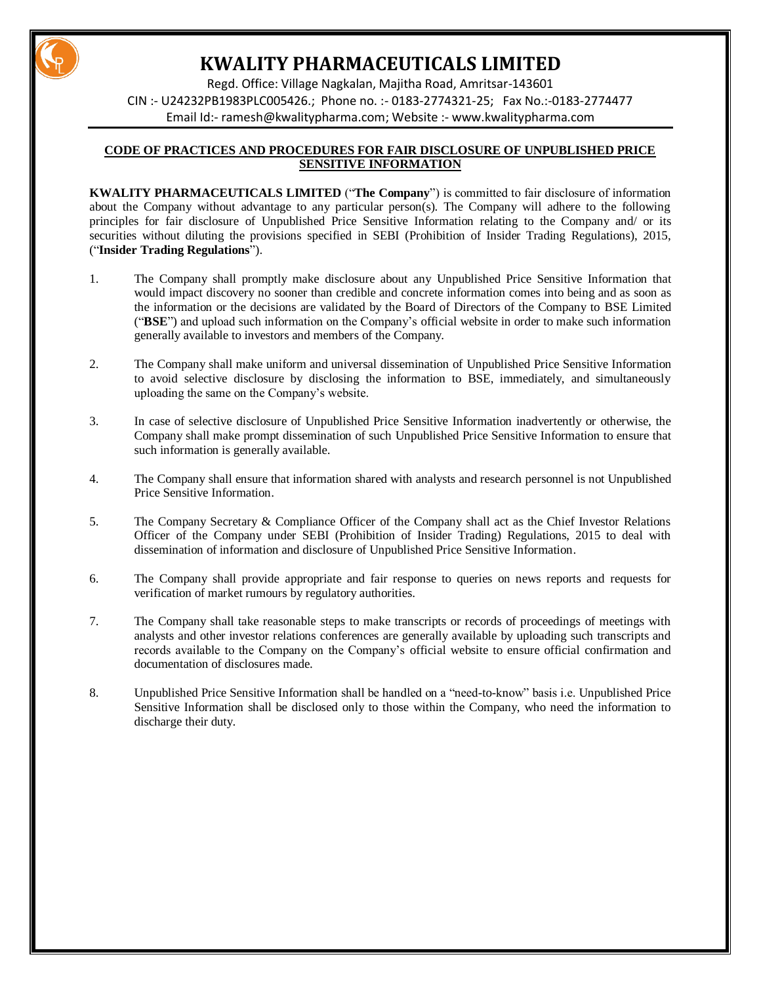

Regd. Office: Village Nagkalan, Majitha Road, Amritsar-143601 CIN :- U24232PB1983PLC005426.; Phone no. :- 0183-2774321-25; Fax No.:-0183-2774477 Email Id:- [ramesh@kwalitypharma.com;](mailto:ramesh@kwalitypharma.com) Website :- [www.kwalitypharma.com](http://www.kwalitypharma.com/)

### **CODE OF PRACTICES AND PROCEDURES FOR FAIR DISCLOSURE OF UNPUBLISHED PRICE SENSITIVE INFORMATION**

**KWALITY PHARMACEUTICALS LIMITED** ("**The Company**") is committed to fair disclosure of information about the Company without advantage to any particular person(s). The Company will adhere to the following principles for fair disclosure of Unpublished Price Sensitive Information relating to the Company and/ or its securities without diluting the provisions specified in SEBI (Prohibition of Insider Trading Regulations), 2015, ("**Insider Trading Regulations**").

- 1. The Company shall promptly make disclosure about any Unpublished Price Sensitive Information that would impact discovery no sooner than credible and concrete information comes into being and as soon as the information or the decisions are validated by the Board of Directors of the Company to BSE Limited ("**BSE**") and upload such information on the Company's official website in order to make such information generally available to investors and members of the Company.
- 2. The Company shall make uniform and universal dissemination of Unpublished Price Sensitive Information to avoid selective disclosure by disclosing the information to BSE, immediately, and simultaneously uploading the same on the Company's website.
- 3. In case of selective disclosure of Unpublished Price Sensitive Information inadvertently or otherwise, the Company shall make prompt dissemination of such Unpublished Price Sensitive Information to ensure that such information is generally available.
- 4. The Company shall ensure that information shared with analysts and research personnel is not Unpublished Price Sensitive Information.
- 5. The Company Secretary & Compliance Officer of the Company shall act as the Chief Investor Relations Officer of the Company under SEBI (Prohibition of Insider Trading) Regulations, 2015 to deal with dissemination of information and disclosure of Unpublished Price Sensitive Information.
- 6. The Company shall provide appropriate and fair response to queries on news reports and requests for verification of market rumours by regulatory authorities.
- 7. The Company shall take reasonable steps to make transcripts or records of proceedings of meetings with analysts and other investor relations conferences are generally available by uploading such transcripts and records available to the Company on the Company's official website to ensure official confirmation and documentation of disclosures made.
- 8. Unpublished Price Sensitive Information shall be handled on a "need-to-know" basis i.e. Unpublished Price Sensitive Information shall be disclosed only to those within the Company, who need the information to discharge their duty.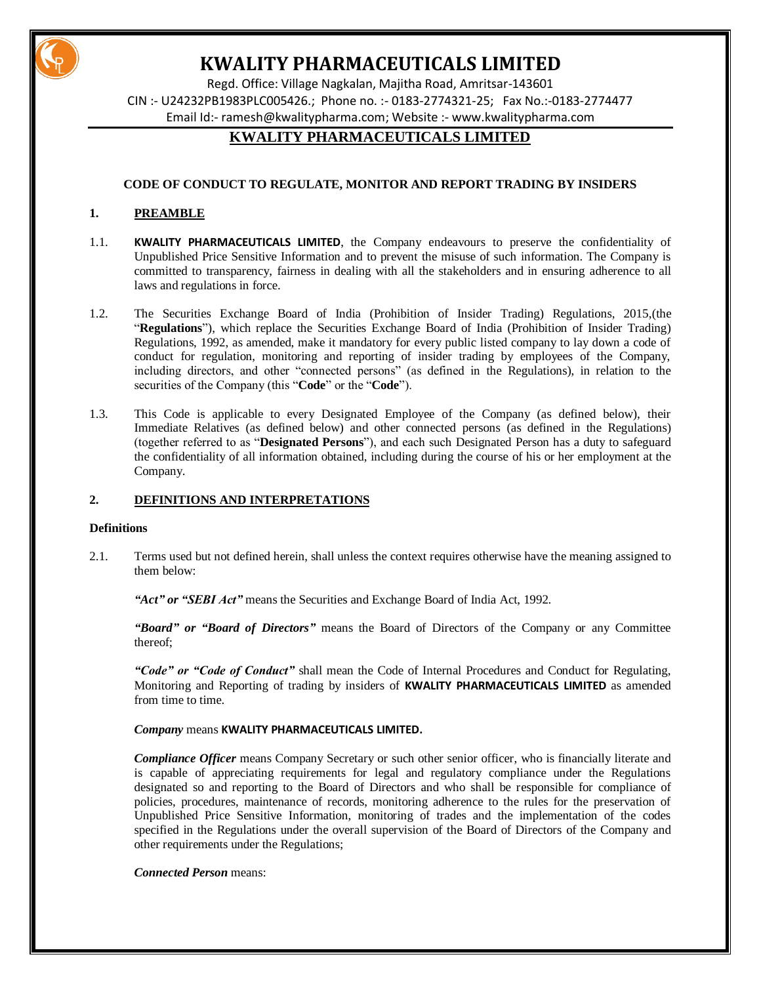

Regd. Office: Village Nagkalan, Majitha Road, Amritsar-143601 CIN :- U24232PB1983PLC005426.; Phone no. :- 0183-2774321-25; Fax No.:-0183-2774477 Email Id:- [ramesh@kwalitypharma.com;](mailto:ramesh@kwalitypharma.com) Website :- [www.kwalitypharma.com](http://www.kwalitypharma.com/)

# **KWALITY PHARMACEUTICALS LIMITED**

# **CODE OF CONDUCT TO REGULATE, MONITOR AND REPORT TRADING BY INSIDERS**

# **1. PREAMBLE**

- 1.1. **KWALITY PHARMACEUTICALS LIMITED**, the Company endeavours to preserve the confidentiality of Unpublished Price Sensitive Information and to prevent the misuse of such information. The Company is committed to transparency, fairness in dealing with all the stakeholders and in ensuring adherence to all laws and regulations in force.
- 1.2. The Securities Exchange Board of India (Prohibition of Insider Trading) Regulations, 2015,(the "**Regulations**"), which replace the Securities Exchange Board of India (Prohibition of Insider Trading) Regulations, 1992, as amended, make it mandatory for every public listed company to lay down a code of conduct for regulation, monitoring and reporting of insider trading by employees of the Company, including directors, and other "connected persons" (as defined in the Regulations), in relation to the securities of the Company (this "**Code**" or the "**Code**").
- 1.3. This Code is applicable to every Designated Employee of the Company (as defined below), their Immediate Relatives (as defined below) and other connected persons (as defined in the Regulations) (together referred to as "**Designated Persons**"), and each such Designated Person has a duty to safeguard the confidentiality of all information obtained, including during the course of his or her employment at the Company.

### **2. DEFINITIONS AND INTERPRETATIONS**

#### **Definitions**

2.1. Terms used but not defined herein, shall unless the context requires otherwise have the meaning assigned to them below:

*"Act" or "SEBI Act"* means the Securities and Exchange Board of India Act, 1992.

*"Board" or "Board of Directors"* means the Board of Directors of the Company or any Committee thereof;

*"Code" or "Code of Conduct"* shall mean the Code of Internal Procedures and Conduct for Regulating, Monitoring and Reporting of trading by insiders of **KWALITY PHARMACEUTICALS LIMITED** as amended from time to time.

*Company* means **KWALITY PHARMACEUTICALS LIMITED.** 

*Compliance Officer* means Company Secretary or such other senior officer, who is financially literate and is capable of appreciating requirements for legal and regulatory compliance under the Regulations designated so and reporting to the Board of Directors and who shall be responsible for compliance of policies, procedures, maintenance of records, monitoring adherence to the rules for the preservation of Unpublished Price Sensitive Information, monitoring of trades and the implementation of the codes specified in the Regulations under the overall supervision of the Board of Directors of the Company and other requirements under the Regulations;

*Connected Person* means: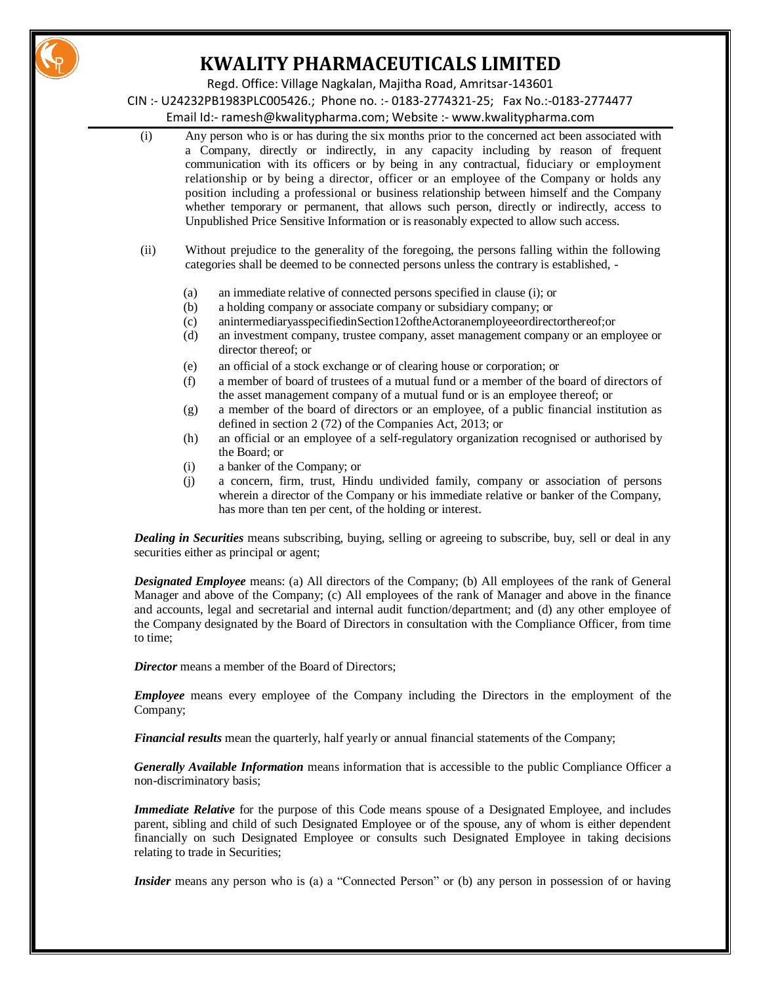

Regd. Office: Village Nagkalan, Majitha Road, Amritsar-143601

CIN :- U24232PB1983PLC005426.; Phone no. :- 0183-2774321-25; Fax No.:-0183-2774477

Email Id:- [ramesh@kwalitypharma.com;](mailto:ramesh@kwalitypharma.com) Website :- [www.kwalitypharma.com](http://www.kwalitypharma.com/)

- (i) Any person who is or has during the six months prior to the concerned act been associated with a Company, directly or indirectly, in any capacity including by reason of frequent communication with its officers or by being in any contractual, fiduciary or employment relationship or by being a director, officer or an employee of the Company or holds any position including a professional or business relationship between himself and the Company whether temporary or permanent, that allows such person, directly or indirectly, access to Unpublished Price Sensitive Information or is reasonably expected to allow such access.
- (ii) Without prejudice to the generality of the foregoing, the persons falling within the following categories shall be deemed to be connected persons unless the contrary is established, -
	- (a) an immediate relative of connected persons specified in clause (i); or
	- (b) a holding company or associate company or subsidiary company; or
	- (c) anintermediaryasspecifiedinSection12oftheActoranemployeeordirectorthereof;or
	- (d) an investment company, trustee company, asset management company or an employee or director thereof; or
	- (e) an official of a stock exchange or of clearing house or corporation; or
	- (f) a member of board of trustees of a mutual fund or a member of the board of directors of the asset management company of a mutual fund or is an employee thereof; or
	- (g) a member of the board of directors or an employee, of a public financial institution as defined in section 2 (72) of the Companies Act, 2013; or
	- (h) an official or an employee of a self-regulatory organization recognised or authorised by the Board; or
	- (i) a banker of the Company; or
	- (j) a concern, firm, trust, Hindu undivided family, company or association of persons wherein a director of the Company or his immediate relative or banker of the Company, has more than ten per cent, of the holding or interest.

*Dealing in Securities* means subscribing, buying, selling or agreeing to subscribe, buy, sell or deal in any securities either as principal or agent;

*Designated Employee* means: (a) All directors of the Company; (b) All employees of the rank of General Manager and above of the Company; (c) All employees of the rank of Manager and above in the finance and accounts, legal and secretarial and internal audit function/department; and (d) any other employee of the Company designated by the Board of Directors in consultation with the Compliance Officer, from time to time;

*Director* means a member of the Board of Directors:

*Employee* means every employee of the Company including the Directors in the employment of the Company;

*Financial results* mean the quarterly, half yearly or annual financial statements of the Company;

*Generally Available Information* means information that is accessible to the public Compliance Officer a non-discriminatory basis;

*Immediate Relative* for the purpose of this Code means spouse of a Designated Employee, and includes parent, sibling and child of such Designated Employee or of the spouse, any of whom is either dependent financially on such Designated Employee or consults such Designated Employee in taking decisions relating to trade in Securities;

*Insider* means any person who is (a) a "Connected Person" or (b) any person in possession of or having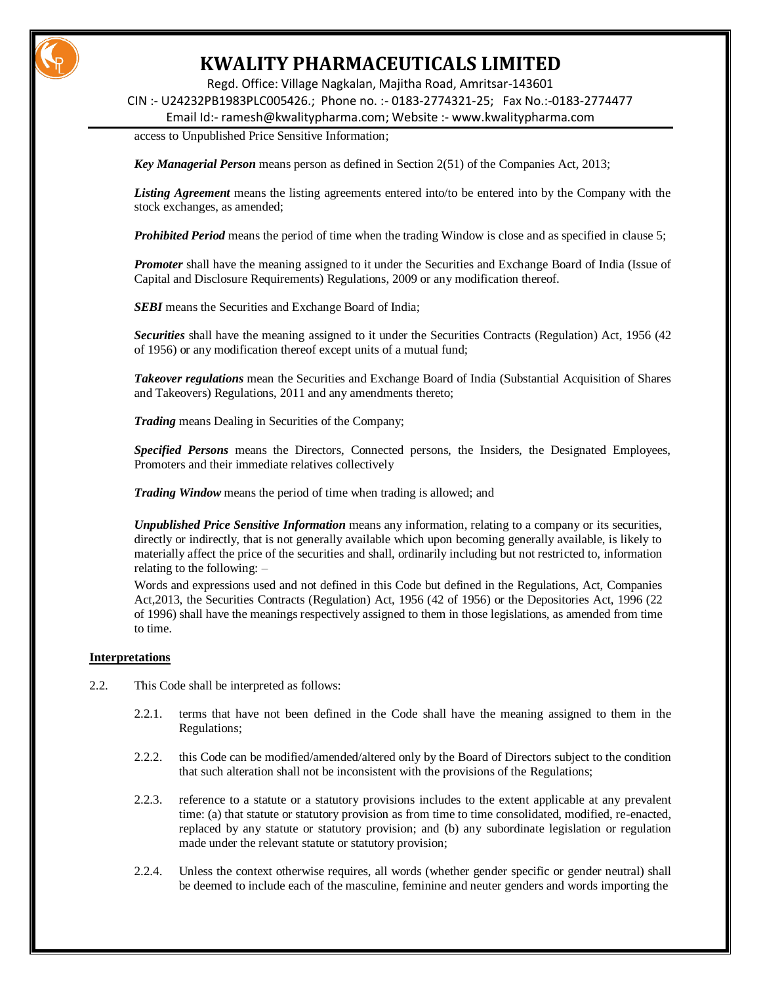

Regd. Office: Village Nagkalan, Majitha Road, Amritsar-143601

CIN :- U24232PB1983PLC005426.; Phone no. :- 0183-2774321-25; Fax No.:-0183-2774477

Email Id:- [ramesh@kwalitypharma.com;](mailto:ramesh@kwalitypharma.com) Website :- [www.kwalitypharma.com](http://www.kwalitypharma.com/)

access to Unpublished Price Sensitive Information;

*Key Managerial Person* means person as defined in Section 2(51) of the Companies Act, 2013;

*Listing Agreement* means the listing agreements entered into/to be entered into by the Company with the stock exchanges, as amended;

*Prohibited Period* means the period of time when the trading Window is close and as specified in clause 5;

**Promoter** shall have the meaning assigned to it under the Securities and Exchange Board of India (Issue of Capital and Disclosure Requirements) Regulations, 2009 or any modification thereof.

**SEBI** means the Securities and Exchange Board of India;

*Securities* shall have the meaning assigned to it under the Securities Contracts (Regulation) Act, 1956 (42 of 1956) or any modification thereof except units of a mutual fund;

*Takeover regulations* mean the Securities and Exchange Board of India (Substantial Acquisition of Shares and Takeovers) Regulations, 2011 and any amendments thereto;

*Trading* means Dealing in Securities of the Company;

*Specified Persons* means the Directors, Connected persons, the Insiders, the Designated Employees, Promoters and their immediate relatives collectively

*Trading Window* means the period of time when trading is allowed; and

*Unpublished Price Sensitive Information* means any information, relating to a company or its securities, directly or indirectly, that is not generally available which upon becoming generally available, is likely to materially affect the price of the securities and shall, ordinarily including but not restricted to, information relating to the following: –

Words and expressions used and not defined in this Code but defined in the Regulations, Act, Companies Act,2013, the Securities Contracts (Regulation) Act, 1956 (42 of 1956) or the Depositories Act, 1996 (22 of 1996) shall have the meanings respectively assigned to them in those legislations, as amended from time to time.

#### **Interpretations**

- 2.2. This Code shall be interpreted as follows:
	- 2.2.1. terms that have not been defined in the Code shall have the meaning assigned to them in the Regulations;
	- 2.2.2. this Code can be modified/amended/altered only by the Board of Directors subject to the condition that such alteration shall not be inconsistent with the provisions of the Regulations;
	- 2.2.3. reference to a statute or a statutory provisions includes to the extent applicable at any prevalent time: (a) that statute or statutory provision as from time to time consolidated, modified, re-enacted, replaced by any statute or statutory provision; and (b) any subordinate legislation or regulation made under the relevant statute or statutory provision;
	- 2.2.4. Unless the context otherwise requires, all words (whether gender specific or gender neutral) shall be deemed to include each of the masculine, feminine and neuter genders and words importing the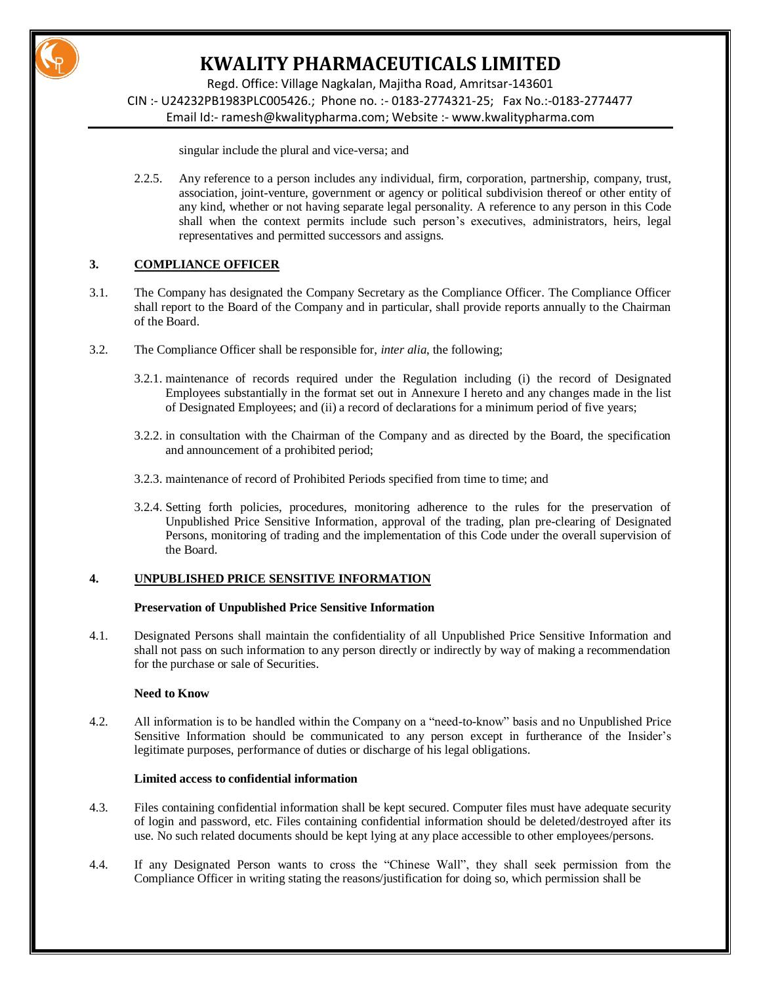

Regd. Office: Village Nagkalan, Majitha Road, Amritsar-143601 CIN :- U24232PB1983PLC005426.; Phone no. :- 0183-2774321-25; Fax No.:-0183-2774477 Email Id:- [ramesh@kwalitypharma.com;](mailto:ramesh@kwalitypharma.com) Website :- [www.kwalitypharma.com](http://www.kwalitypharma.com/)

singular include the plural and vice-versa; and

2.2.5. Any reference to a person includes any individual, firm, corporation, partnership, company, trust, association, joint-venture, government or agency or political subdivision thereof or other entity of any kind, whether or not having separate legal personality. A reference to any person in this Code shall when the context permits include such person's executives, administrators, heirs, legal representatives and permitted successors and assigns.

# **3. COMPLIANCE OFFICER**

- 3.1. The Company has designated the Company Secretary as the Compliance Officer. The Compliance Officer shall report to the Board of the Company and in particular, shall provide reports annually to the Chairman of the Board.
- 3.2. The Compliance Officer shall be responsible for, *inter alia*, the following;
	- 3.2.1. maintenance of records required under the Regulation including (i) the record of Designated Employees substantially in the format set out in Annexure I hereto and any changes made in the list of Designated Employees; and (ii) a record of declarations for a minimum period of five years;
	- 3.2.2. in consultation with the Chairman of the Company and as directed by the Board, the specification and announcement of a prohibited period;
	- 3.2.3. maintenance of record of Prohibited Periods specified from time to time; and
	- 3.2.4. Setting forth policies, procedures, monitoring adherence to the rules for the preservation of Unpublished Price Sensitive Information, approval of the trading, plan pre-clearing of Designated Persons, monitoring of trading and the implementation of this Code under the overall supervision of the Board.

### **4. UNPUBLISHED PRICE SENSITIVE INFORMATION**

#### **Preservation of Unpublished Price Sensitive Information**

4.1. Designated Persons shall maintain the confidentiality of all Unpublished Price Sensitive Information and shall not pass on such information to any person directly or indirectly by way of making a recommendation for the purchase or sale of Securities.

### **Need to Know**

4.2. All information is to be handled within the Company on a "need-to-know" basis and no Unpublished Price Sensitive Information should be communicated to any person except in furtherance of the Insider's legitimate purposes, performance of duties or discharge of his legal obligations.

#### **Limited access to confidential information**

- 4.3. Files containing confidential information shall be kept secured. Computer files must have adequate security of login and password, etc. Files containing confidential information should be deleted/destroyed after its use. No such related documents should be kept lying at any place accessible to other employees/persons.
- 4.4. If any Designated Person wants to cross the "Chinese Wall", they shall seek permission from the Compliance Officer in writing stating the reasons/justification for doing so, which permission shall be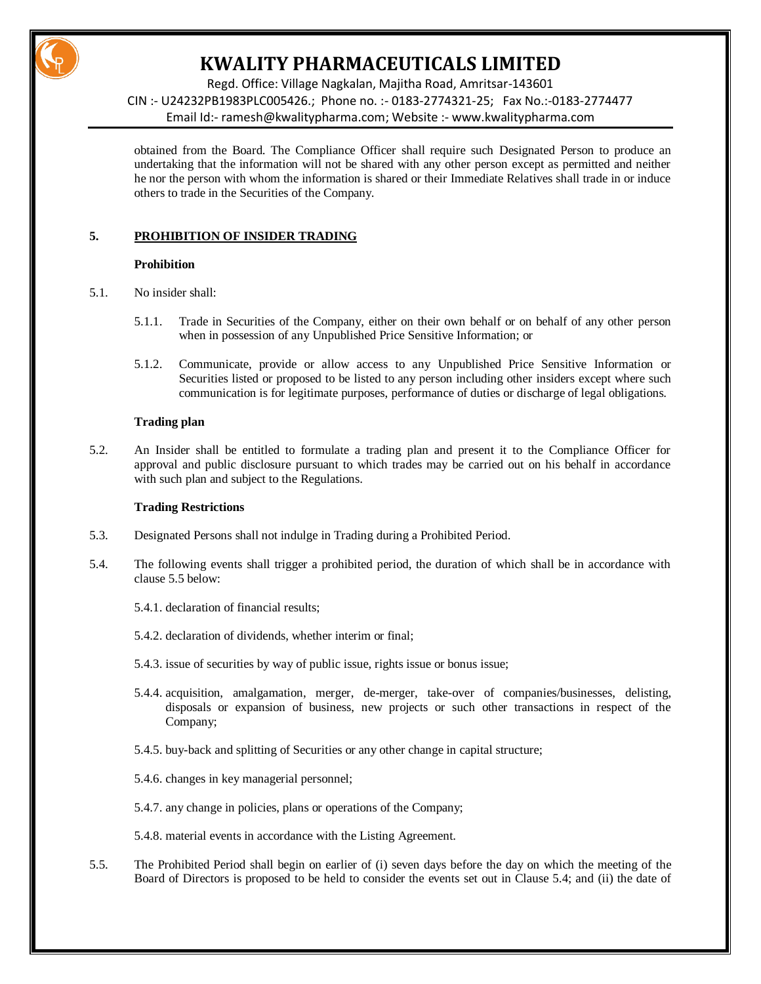

Regd. Office: Village Nagkalan, Majitha Road, Amritsar-143601 CIN :- U24232PB1983PLC005426.; Phone no. :- 0183-2774321-25; Fax No.:-0183-2774477 Email Id:- [ramesh@kwalitypharma.com;](mailto:ramesh@kwalitypharma.com) Website :- [www.kwalitypharma.com](http://www.kwalitypharma.com/)

obtained from the Board. The Compliance Officer shall require such Designated Person to produce an undertaking that the information will not be shared with any other person except as permitted and neither he nor the person with whom the information is shared or their Immediate Relatives shall trade in or induce others to trade in the Securities of the Company.

# **5. PROHIBITION OF INSIDER TRADING**

### **Prohibition**

- 5.1. No insider shall:
	- 5.1.1. Trade in Securities of the Company, either on their own behalf or on behalf of any other person when in possession of any Unpublished Price Sensitive Information; or
	- 5.1.2. Communicate, provide or allow access to any Unpublished Price Sensitive Information or Securities listed or proposed to be listed to any person including other insiders except where such communication is for legitimate purposes, performance of duties or discharge of legal obligations.

# **Trading plan**

5.2. An Insider shall be entitled to formulate a trading plan and present it to the Compliance Officer for approval and public disclosure pursuant to which trades may be carried out on his behalf in accordance with such plan and subject to the Regulations.

### **Trading Restrictions**

- 5.3. Designated Persons shall not indulge in Trading during a Prohibited Period.
- 5.4. The following events shall trigger a prohibited period, the duration of which shall be in accordance with clause 5.5 below:
	- 5.4.1. declaration of financial results;
	- 5.4.2. declaration of dividends, whether interim or final;
	- 5.4.3. issue of securities by way of public issue, rights issue or bonus issue;
	- 5.4.4. acquisition, amalgamation, merger, de-merger, take-over of companies/businesses, delisting, disposals or expansion of business, new projects or such other transactions in respect of the Company;
	- 5.4.5. buy-back and splitting of Securities or any other change in capital structure;
	- 5.4.6. changes in key managerial personnel;
	- 5.4.7. any change in policies, plans or operations of the Company;
	- 5.4.8. material events in accordance with the Listing Agreement.
- 5.5. The Prohibited Period shall begin on earlier of (i) seven days before the day on which the meeting of the Board of Directors is proposed to be held to consider the events set out in Clause 5.4; and (ii) the date of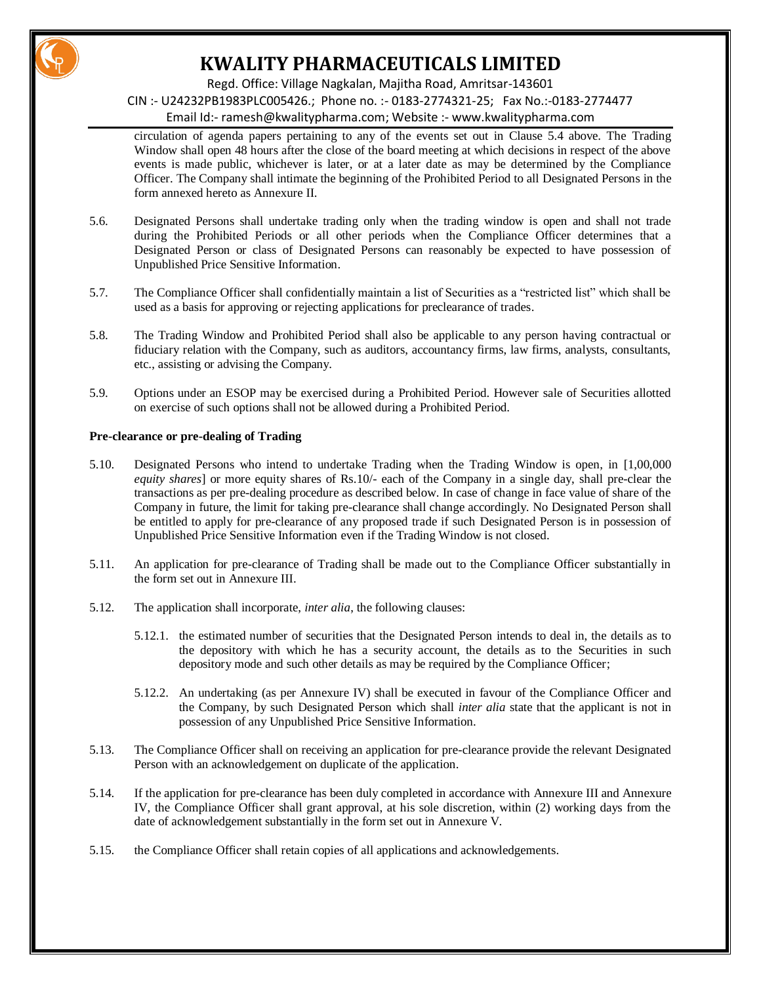

Regd. Office: Village Nagkalan, Majitha Road, Amritsar-143601

CIN :- U24232PB1983PLC005426.; Phone no. :- 0183-2774321-25; Fax No.:-0183-2774477

Email Id:- [ramesh@kwalitypharma.com;](mailto:ramesh@kwalitypharma.com) Website :- [www.kwalitypharma.com](http://www.kwalitypharma.com/)

circulation of agenda papers pertaining to any of the events set out in Clause 5.4 above. The Trading Window shall open 48 hours after the close of the board meeting at which decisions in respect of the above events is made public, whichever is later, or at a later date as may be determined by the Compliance Officer. The Company shall intimate the beginning of the Prohibited Period to all Designated Persons in the form annexed hereto as Annexure II.

- 5.6. Designated Persons shall undertake trading only when the trading window is open and shall not trade during the Prohibited Periods or all other periods when the Compliance Officer determines that a Designated Person or class of Designated Persons can reasonably be expected to have possession of Unpublished Price Sensitive Information.
- 5.7. The Compliance Officer shall confidentially maintain a list of Securities as a "restricted list" which shall be used as a basis for approving or rejecting applications for preclearance of trades.
- 5.8. The Trading Window and Prohibited Period shall also be applicable to any person having contractual or fiduciary relation with the Company, such as auditors, accountancy firms, law firms, analysts, consultants, etc., assisting or advising the Company.
- 5.9. Options under an ESOP may be exercised during a Prohibited Period. However sale of Securities allotted on exercise of such options shall not be allowed during a Prohibited Period.

### **Pre-clearance or pre-dealing of Trading**

- 5.10. Designated Persons who intend to undertake Trading when the Trading Window is open, in [1,00,000 *equity shares*] or more equity shares of Rs.10/- each of the Company in a single day, shall pre-clear the transactions as per pre-dealing procedure as described below. In case of change in face value of share of the Company in future, the limit for taking pre-clearance shall change accordingly. No Designated Person shall be entitled to apply for pre-clearance of any proposed trade if such Designated Person is in possession of Unpublished Price Sensitive Information even if the Trading Window is not closed.
- 5.11. An application for pre-clearance of Trading shall be made out to the Compliance Officer substantially in the form set out in Annexure III.
- 5.12. The application shall incorporate, *inter alia*, the following clauses:
	- 5.12.1. the estimated number of securities that the Designated Person intends to deal in, the details as to the depository with which he has a security account, the details as to the Securities in such depository mode and such other details as may be required by the Compliance Officer;
	- 5.12.2. An undertaking (as per Annexure IV) shall be executed in favour of the Compliance Officer and the Company, by such Designated Person which shall *inter alia* state that the applicant is not in possession of any Unpublished Price Sensitive Information.
- 5.13. The Compliance Officer shall on receiving an application for pre-clearance provide the relevant Designated Person with an acknowledgement on duplicate of the application.
- 5.14. If the application for pre-clearance has been duly completed in accordance with Annexure III and Annexure IV, the Compliance Officer shall grant approval, at his sole discretion, within (2) working days from the date of acknowledgement substantially in the form set out in Annexure V.
- 5.15. the Compliance Officer shall retain copies of all applications and acknowledgements.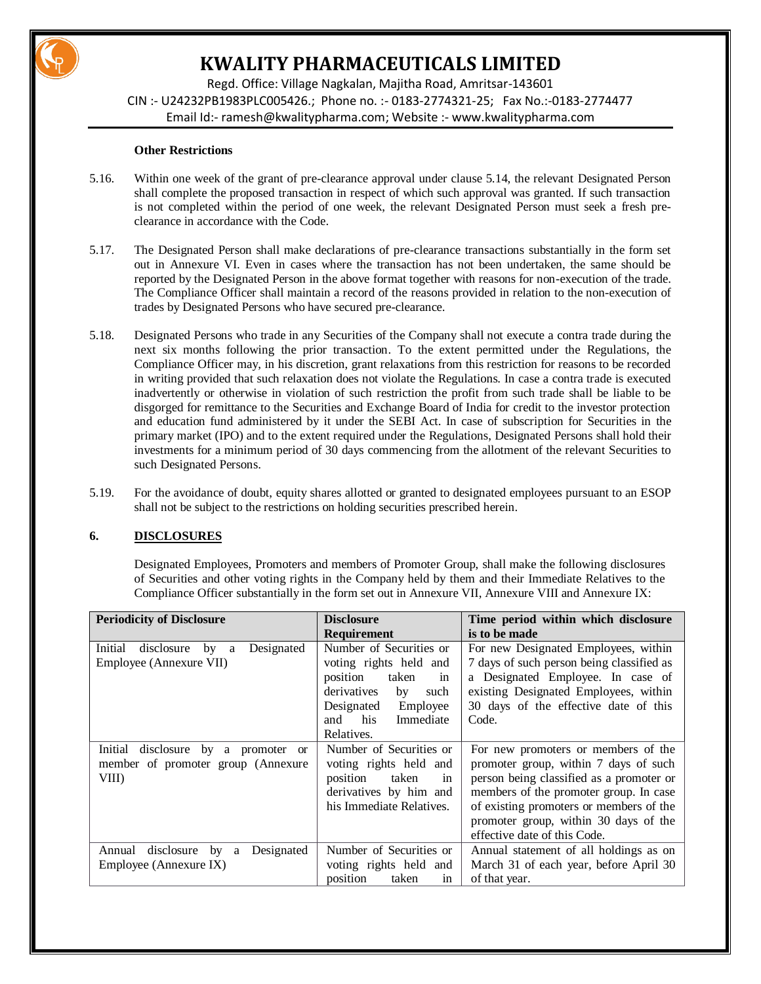

Regd. Office: Village Nagkalan, Majitha Road, Amritsar-143601 CIN :- U24232PB1983PLC005426.; Phone no. :- 0183-2774321-25; Fax No.:-0183-2774477 Email Id:- [ramesh@kwalitypharma.com;](mailto:ramesh@kwalitypharma.com) Website :- [www.kwalitypharma.com](http://www.kwalitypharma.com/)

### **Other Restrictions**

- 5.16. Within one week of the grant of pre-clearance approval under clause 5.14, the relevant Designated Person shall complete the proposed transaction in respect of which such approval was granted. If such transaction is not completed within the period of one week, the relevant Designated Person must seek a fresh preclearance in accordance with the Code.
- 5.17. The Designated Person shall make declarations of pre-clearance transactions substantially in the form set out in Annexure VI. Even in cases where the transaction has not been undertaken, the same should be reported by the Designated Person in the above format together with reasons for non-execution of the trade. The Compliance Officer shall maintain a record of the reasons provided in relation to the non-execution of trades by Designated Persons who have secured pre-clearance.
- 5.18. Designated Persons who trade in any Securities of the Company shall not execute a contra trade during the next six months following the prior transaction. To the extent permitted under the Regulations, the Compliance Officer may, in his discretion, grant relaxations from this restriction for reasons to be recorded in writing provided that such relaxation does not violate the Regulations. In case a contra trade is executed inadvertently or otherwise in violation of such restriction the profit from such trade shall be liable to be disgorged for remittance to the Securities and Exchange Board of India for credit to the investor protection and education fund administered by it under the SEBI Act. In case of subscription for Securities in the primary market (IPO) and to the extent required under the Regulations, Designated Persons shall hold their investments for a minimum period of 30 days commencing from the allotment of the relevant Securities to such Designated Persons.
- 5.19. For the avoidance of doubt, equity shares allotted or granted to designated employees pursuant to an ESOP shall not be subject to the restrictions on holding securities prescribed herein.

# **6. DISCLOSURES**

Designated Employees, Promoters and members of Promoter Group, shall make the following disclosures of Securities and other voting rights in the Company held by them and their Immediate Relatives to the Compliance Officer substantially in the form set out in Annexure VII, Annexure VIII and Annexure IX:

| <b>Periodicity of Disclosure</b>                                                         | <b>Disclosure</b>                                                                                                                                                      | Time period within which disclosure                                                                                                                                                                                                                                                    |  |  |
|------------------------------------------------------------------------------------------|------------------------------------------------------------------------------------------------------------------------------------------------------------------------|----------------------------------------------------------------------------------------------------------------------------------------------------------------------------------------------------------------------------------------------------------------------------------------|--|--|
|                                                                                          | <b>Requirement</b>                                                                                                                                                     | is to be made                                                                                                                                                                                                                                                                          |  |  |
| Initial<br>disclosure<br>Designated<br>by a<br>Employee (Annexure VII)                   | Number of Securities or<br>voting rights held and<br>position<br>taken<br>in<br>derivatives<br>by<br>such<br>Designated Employee<br>Immediate<br>and his<br>Relatives. | For new Designated Employees, within<br>7 days of such person being classified as<br>a Designated Employee. In case of<br>existing Designated Employees, within<br>30 days of the effective date of this<br>Code.                                                                      |  |  |
| disclosure by a<br>Initial<br>promoter or<br>member of promoter group (Annexure<br>VIII) | Number of Securities or<br>voting rights held and<br>position<br>taken<br>in<br>derivatives by him and<br>his Immediate Relatives.                                     | For new promoters or members of the<br>promoter group, within 7 days of such<br>person being classified as a promoter or<br>members of the promoter group. In case<br>of existing promoters or members of the<br>promoter group, within 30 days of the<br>effective date of this Code. |  |  |
| Designated<br>disclosure<br>by<br>Annual<br>a<br>Employee (Annexure IX)                  | Number of Securities or<br>voting rights held and<br>position<br>taken<br>in                                                                                           | Annual statement of all holdings as on<br>March 31 of each year, before April 30<br>of that year.                                                                                                                                                                                      |  |  |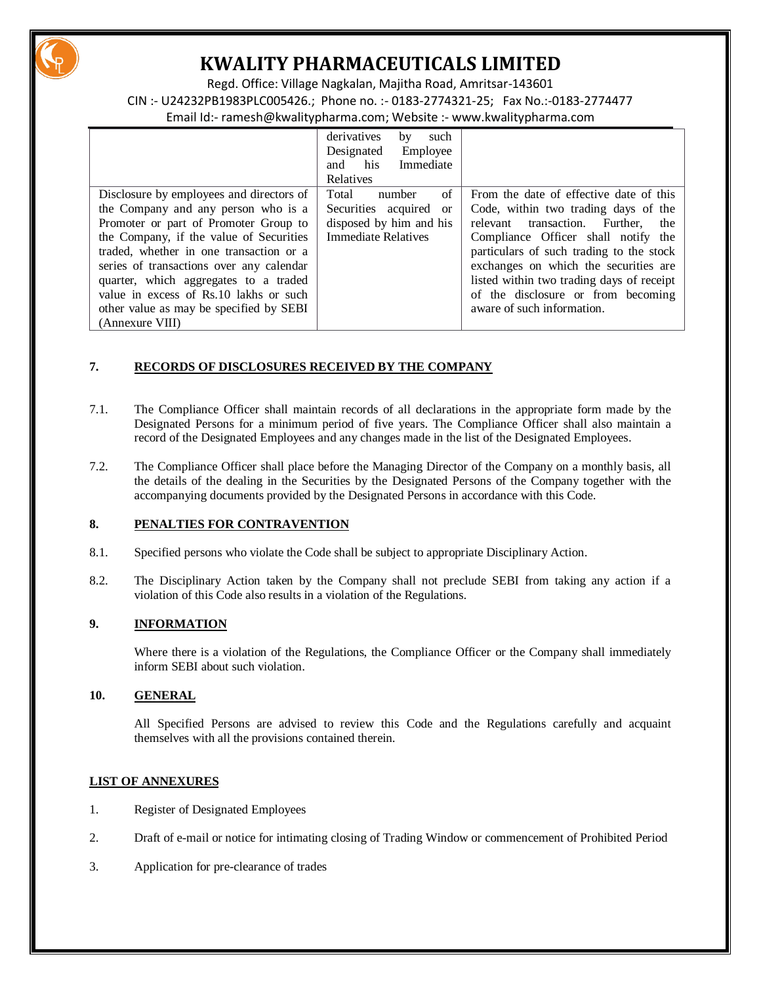

Regd. Office: Village Nagkalan, Majitha Road, Amritsar-143601 CIN :- U24232PB1983PLC005426.; Phone no. :- 0183-2774321-25; Fax No.:-0183-2774477 Email Id:- [ramesh@kwalitypharma.com;](mailto:ramesh@kwalitypharma.com) Website :- [www.kwalitypharma.com](http://www.kwalitypharma.com/)

|                                          | derivatives<br>such<br>by  |                                           |
|------------------------------------------|----------------------------|-------------------------------------------|
|                                          | Employee<br>Designated     |                                           |
|                                          | Immediate<br>his<br>and    |                                           |
|                                          | Relatives                  |                                           |
| Disclosure by employees and directors of | of<br>Total<br>number      | From the date of effective date of this   |
| the Company and any person who is a      | Securities acquired or     | Code, within two trading days of the      |
| Promoter or part of Promoter Group to    | disposed by him and his    | relevant transaction.<br>Further.<br>the  |
| the Company, if the value of Securities  | <b>Immediate Relatives</b> | Compliance Officer shall notify the       |
| traded, whether in one transaction or a  |                            | particulars of such trading to the stock  |
| series of transactions over any calendar |                            | exchanges on which the securities are     |
| quarter, which aggregates to a traded    |                            | listed within two trading days of receipt |
| value in excess of Rs.10 lakhs or such   |                            | of the disclosure or from becoming        |
| other value as may be specified by SEBI  |                            | aware of such information.                |
| (Annexure VIII)                          |                            |                                           |

# **7. RECORDS OF DISCLOSURES RECEIVED BY THE COMPANY**

- 7.1. The Compliance Officer shall maintain records of all declarations in the appropriate form made by the Designated Persons for a minimum period of five years. The Compliance Officer shall also maintain a record of the Designated Employees and any changes made in the list of the Designated Employees.
- 7.2. The Compliance Officer shall place before the Managing Director of the Company on a monthly basis, all the details of the dealing in the Securities by the Designated Persons of the Company together with the accompanying documents provided by the Designated Persons in accordance with this Code.

# **8. PENALTIES FOR CONTRAVENTION**

- 8.1. Specified persons who violate the Code shall be subject to appropriate Disciplinary Action.
- 8.2. The Disciplinary Action taken by the Company shall not preclude SEBI from taking any action if a violation of this Code also results in a violation of the Regulations.

# **9. INFORMATION**

Where there is a violation of the Regulations, the Compliance Officer or the Company shall immediately inform SEBI about such violation.

### **10. GENERAL**

All Specified Persons are advised to review this Code and the Regulations carefully and acquaint themselves with all the provisions contained therein.

# **LIST OF ANNEXURES**

- 1. Register of Designated Employees
- 2. Draft of e-mail or notice for intimating closing of Trading Window or commencement of Prohibited Period
- 3. Application for pre-clearance of trades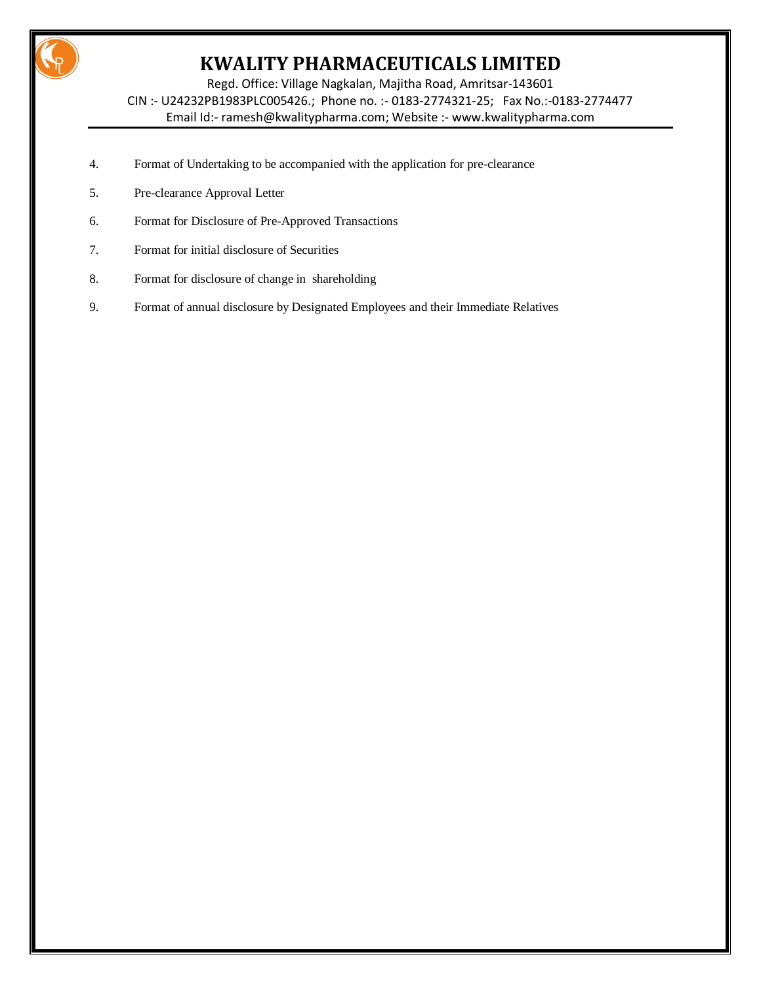

Regd. Office: Village Nagkalan, Majitha Road, Amritsar-143601 CIN :- U24232PB1983PLC005426.; Phone no. :- 0183-2774321-25; Fax No.:-0183-2774477 Email Id:- [ramesh@kwalitypharma.com;](mailto:ramesh@kwalitypharma.com) Website :- [www.kwalitypharma.com](http://www.kwalitypharma.com/)

- 4. Format of Undertaking to be accompanied with the application for pre-clearance
- 5. Pre-clearance Approval Letter
- 6. Format for Disclosure of Pre-Approved Transactions
- 7. Format for initial disclosure of Securities
- 8. Format for disclosure of change in shareholding
- 9. Format of annual disclosure by Designated Employees and their Immediate Relatives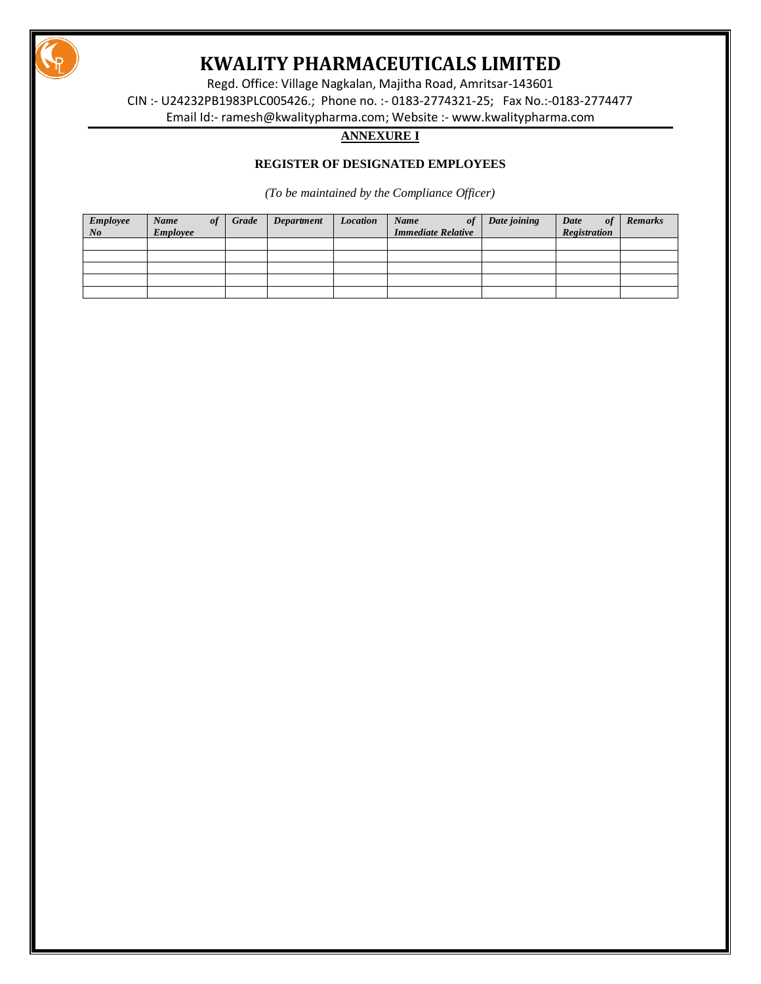

Regd. Office: Village Nagkalan, Majitha Road, Amritsar-143601 CIN :- U24232PB1983PLC005426.; Phone no. :- 0183-2774321-25; Fax No.:-0183-2774477 Email Id:- [ramesh@kwalitypharma.com;](mailto:ramesh@kwalitypharma.com) Website :- [www.kwalitypharma.com](http://www.kwalitypharma.com/)

# **ANNEXURE I**

# **REGISTER OF DESIGNATED EMPLOYEES**

*(To be maintained by the Compliance Officer)*

| <b>Employee</b><br>$N$ o | Name<br><b>Employee</b> | 0.f | Grade | Department | Location | Name<br>0f<br><b>Immediate Relative</b> | Date joining | Date<br><sub>of</sub><br>Registration | <b>Remarks</b> |
|--------------------------|-------------------------|-----|-------|------------|----------|-----------------------------------------|--------------|---------------------------------------|----------------|
|                          |                         |     |       |            |          |                                         |              |                                       |                |
|                          |                         |     |       |            |          |                                         |              |                                       |                |
|                          |                         |     |       |            |          |                                         |              |                                       |                |
|                          |                         |     |       |            |          |                                         |              |                                       |                |
|                          |                         |     |       |            |          |                                         |              |                                       |                |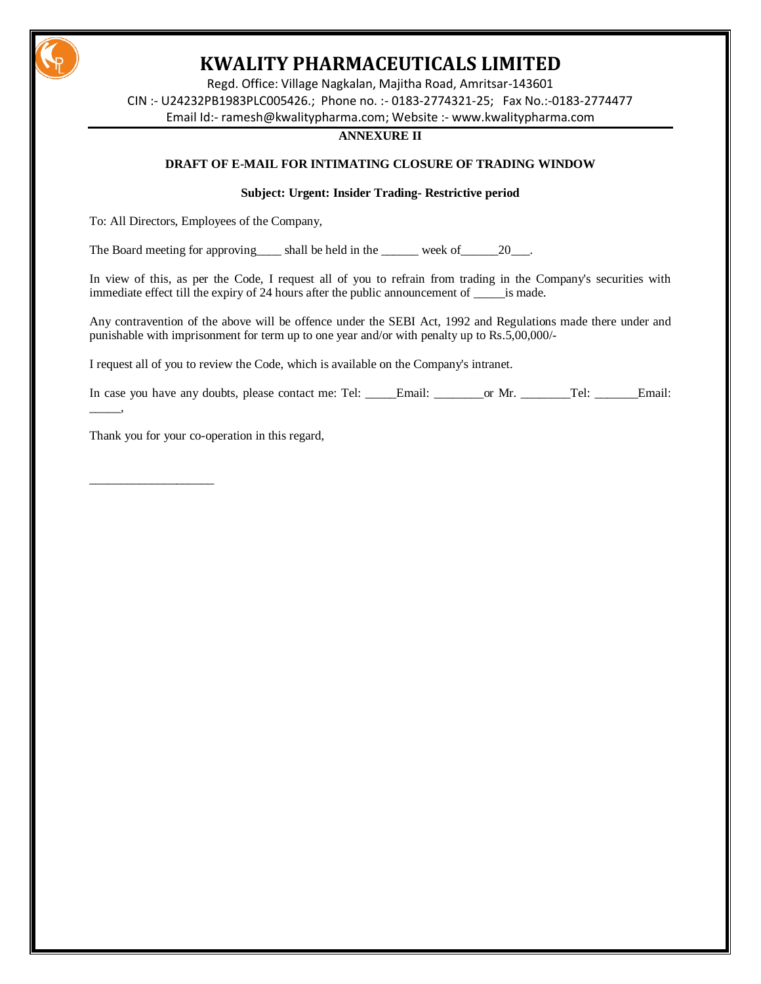

Regd. Office: Village Nagkalan, Majitha Road, Amritsar-143601 CIN :- U24232PB1983PLC005426.; Phone no. :- 0183-2774321-25; Fax No.:-0183-2774477 Email Id:- [ramesh@kwalitypharma.com;](mailto:ramesh@kwalitypharma.com) Website :- [www.kwalitypharma.com](http://www.kwalitypharma.com/)

#### **ANNEXURE II**

### **DRAFT OF E-MAIL FOR INTIMATING CLOSURE OF TRADING WINDOW**

### **Subject: Urgent: Insider Trading- Restrictive period**

To: All Directors, Employees of the Company,

The Board meeting for approving\_\_\_\_ shall be held in the \_\_\_\_\_\_ week of\_\_\_\_\_\_20\_\_\_.

In view of this, as per the Code, I request all of you to refrain from trading in the Company's securities with immediate effect till the expiry of 24 hours after the public announcement of \_\_\_\_\_is made.

Any contravention of the above will be offence under the SEBI Act, 1992 and Regulations made there under and punishable with imprisonment for term up to one year and/or with penalty up to Rs.5,00,000/-

I request all of you to review the Code, which is available on the Company's intranet.

In case you have any doubts, please contact me: Tel: \_\_\_\_\_\_Email: \_\_\_\_\_\_\_\_or Mr. \_\_\_\_\_\_\_\_Tel: \_\_\_\_\_\_\_Email:

Thank you for your co-operation in this regard,

 $\overline{\phantom{a}}$ 

\_\_\_\_\_\_\_\_\_\_\_\_\_\_\_\_\_\_\_\_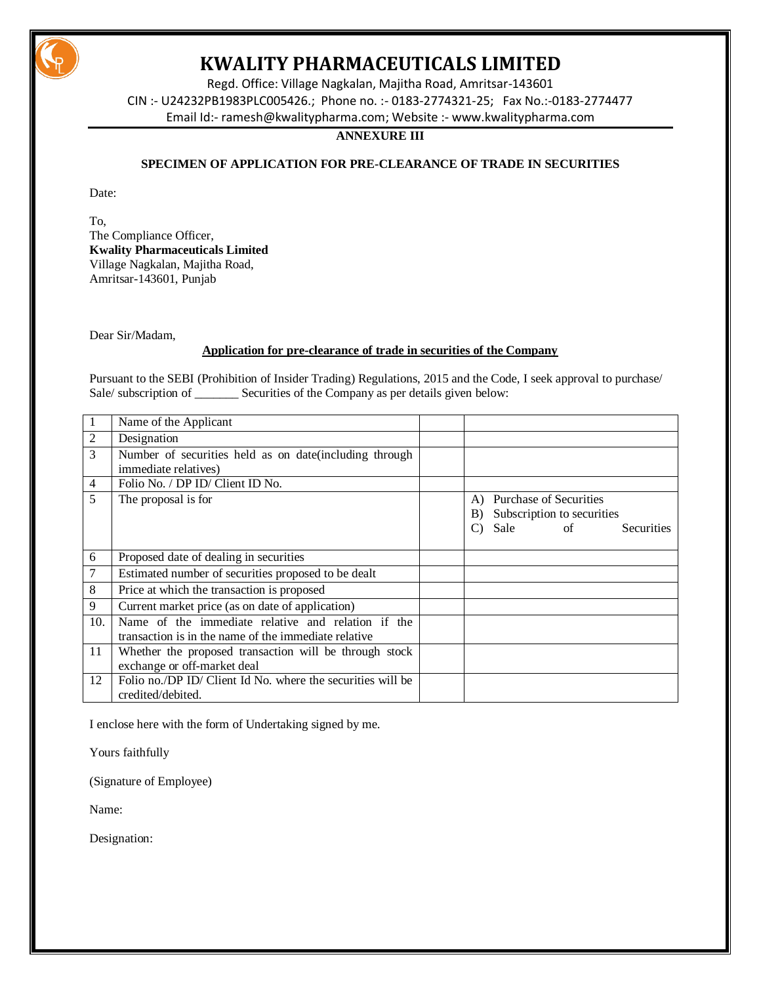

Regd. Office: Village Nagkalan, Majitha Road, Amritsar-143601 CIN :- U24232PB1983PLC005426.; Phone no. :- 0183-2774321-25; Fax No.:-0183-2774477 Email Id:- [ramesh@kwalitypharma.com;](mailto:ramesh@kwalitypharma.com) Website :- [www.kwalitypharma.com](http://www.kwalitypharma.com/)

### **ANNEXURE III**

# **SPECIMEN OF APPLICATION FOR PRE-CLEARANCE OF TRADE IN SECURITIES**

Date:

To, The Compliance Officer, **Kwality Pharmaceuticals Limited** Village Nagkalan, Majitha Road, Amritsar-143601, Punjab

Dear Sir/Madam,

# **Application for pre-clearance of trade in securities of the Company**

Pursuant to the SEBI (Prohibition of Insider Trading) Regulations, 2015 and the Code, I seek approval to purchase/ Sale/ subscription of \_\_\_\_\_\_\_\_ Securities of the Company as per details given below:

| 1              | Name of the Applicant                                                                                      |                           |  |                                                                 |                   |
|----------------|------------------------------------------------------------------------------------------------------------|---------------------------|--|-----------------------------------------------------------------|-------------------|
| 2              | Designation                                                                                                |                           |  |                                                                 |                   |
| 3              | Number of securities held as on date(including through<br>immediate relatives)                             |                           |  |                                                                 |                   |
| $\overline{4}$ | Folio No. / DP ID/ Client ID No.                                                                           |                           |  |                                                                 |                   |
| 5              | The proposal is for                                                                                        | A)<br>B)<br>$\mathcal{C}$ |  | Purchase of Securities<br>Subscription to securities<br>Sale of | <b>Securities</b> |
| 6              | Proposed date of dealing in securities                                                                     |                           |  |                                                                 |                   |
|                | Estimated number of securities proposed to be dealt                                                        |                           |  |                                                                 |                   |
| 8              | Price at which the transaction is proposed                                                                 |                           |  |                                                                 |                   |
| 9              | Current market price (as on date of application)                                                           |                           |  |                                                                 |                   |
| 10.            | Name of the immediate relative and relation if the<br>transaction is in the name of the immediate relative |                           |  |                                                                 |                   |
| 11             | Whether the proposed transaction will be through stock<br>exchange or off-market deal                      |                           |  |                                                                 |                   |
| 12             | Folio no./DP ID/ Client Id No. where the securities will be<br>credited/debited.                           |                           |  |                                                                 |                   |

I enclose here with the form of Undertaking signed by me.

Yours faithfully

(Signature of Employee)

Name: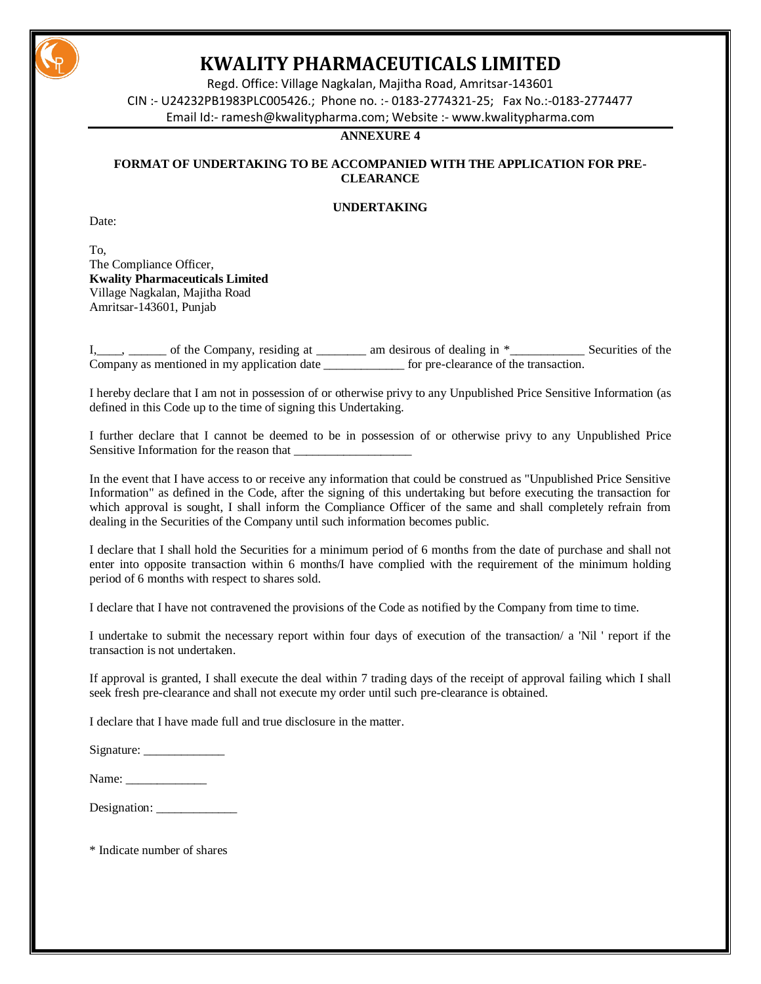

Regd. Office: Village Nagkalan, Majitha Road, Amritsar-143601 CIN :- U24232PB1983PLC005426.; Phone no. :- 0183-2774321-25; Fax No.:-0183-2774477 Email Id:- [ramesh@kwalitypharma.com;](mailto:ramesh@kwalitypharma.com) Website :- [www.kwalitypharma.com](http://www.kwalitypharma.com/)

### **ANNEXURE 4**

# **FORMAT OF UNDERTAKING TO BE ACCOMPANIED WITH THE APPLICATION FOR PRE-CLEARANCE**

# **UNDERTAKING**

Date:

To, The Compliance Officer, **Kwality Pharmaceuticals Limited** Village Nagkalan, Majitha Road Amritsar-143601, Punjab

 $\_\_$ , \_\_\_\_\_\_ of the Company, residing at \_\_\_\_\_\_\_\_ am desirous of dealing in  $*$ \_\_\_\_\_\_\_\_\_\_\_\_ Securities of the Company as mentioned in my application date for pre-clearance of the transaction.

I hereby declare that I am not in possession of or otherwise privy to any Unpublished Price Sensitive Information (as defined in this Code up to the time of signing this Undertaking.

I further declare that I cannot be deemed to be in possession of or otherwise privy to any Unpublished Price Sensitive Information for the reason that

In the event that I have access to or receive any information that could be construed as "Unpublished Price Sensitive Information" as defined in the Code, after the signing of this undertaking but before executing the transaction for which approval is sought, I shall inform the Compliance Officer of the same and shall completely refrain from dealing in the Securities of the Company until such information becomes public.

I declare that I shall hold the Securities for a minimum period of 6 months from the date of purchase and shall not enter into opposite transaction within 6 months/I have complied with the requirement of the minimum holding period of 6 months with respect to shares sold.

I declare that I have not contravened the provisions of the Code as notified by the Company from time to time.

I undertake to submit the necessary report within four days of execution of the transaction/ a 'Nil ' report if the transaction is not undertaken.

If approval is granted, I shall execute the deal within 7 trading days of the receipt of approval failing which I shall seek fresh pre-clearance and shall not execute my order until such pre-clearance is obtained.

I declare that I have made full and true disclosure in the matter.

| Signature: |  |
|------------|--|
|------------|--|

| Designation: |  |
|--------------|--|
|--------------|--|

\* Indicate number of shares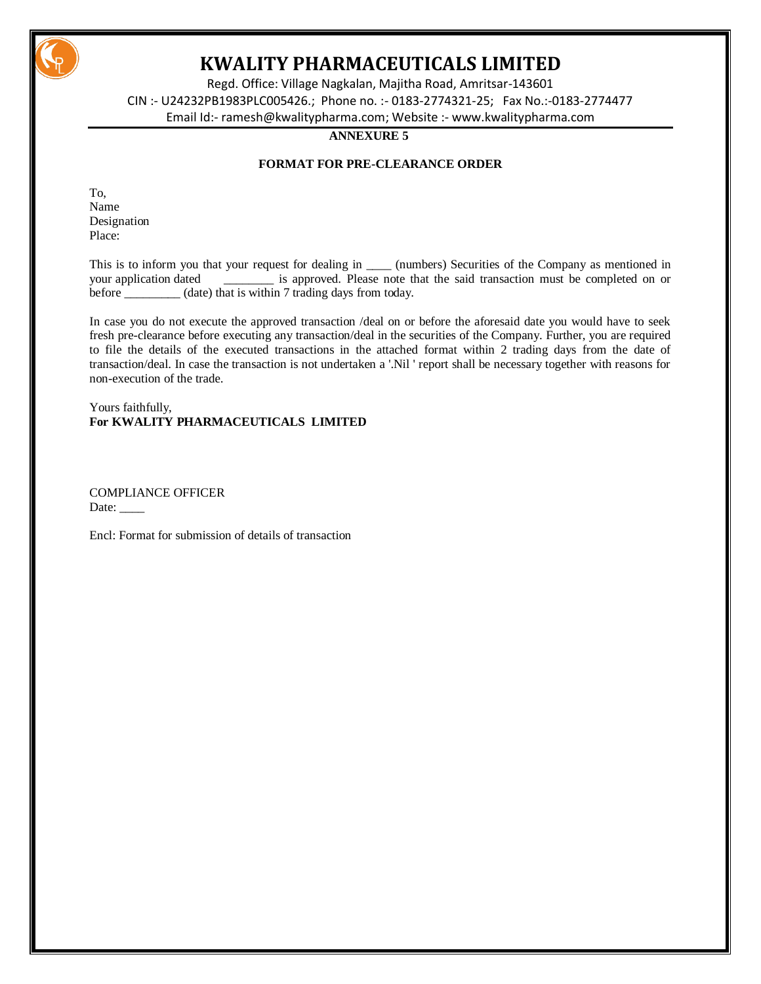

Regd. Office: Village Nagkalan, Majitha Road, Amritsar-143601 CIN :- U24232PB1983PLC005426.; Phone no. :- 0183-2774321-25; Fax No.:-0183-2774477 Email Id:- [ramesh@kwalitypharma.com;](mailto:ramesh@kwalitypharma.com) Website :- [www.kwalitypharma.com](http://www.kwalitypharma.com/)

### **ANNEXURE 5**

# **FORMAT FOR PRE-CLEARANCE ORDER**

To, Name Designation Place:

This is to inform you that your request for dealing in \_\_\_\_\_ (numbers) Securities of the Company as mentioned in your application dated \_\_\_\_\_\_\_\_ is approved. Please note that the said transaction must be completed on or before \_\_\_\_\_\_\_\_\_ (date) that is within 7 trading days from today.

In case you do not execute the approved transaction /deal on or before the aforesaid date you would have to seek fresh pre-clearance before executing any transaction/deal in the securities of the Company. Further, you are required to file the details of the executed transactions in the attached format within 2 trading days from the date of transaction/deal. In case the transaction is not undertaken a '.Nil ' report shall be necessary together with reasons for non-execution of the trade.

Yours faithfully, **For KWALITY PHARMACEUTICALS LIMITED**

COMPLIANCE OFFICER Date:  $\_\_$ 

Encl: Format for submission of details of transaction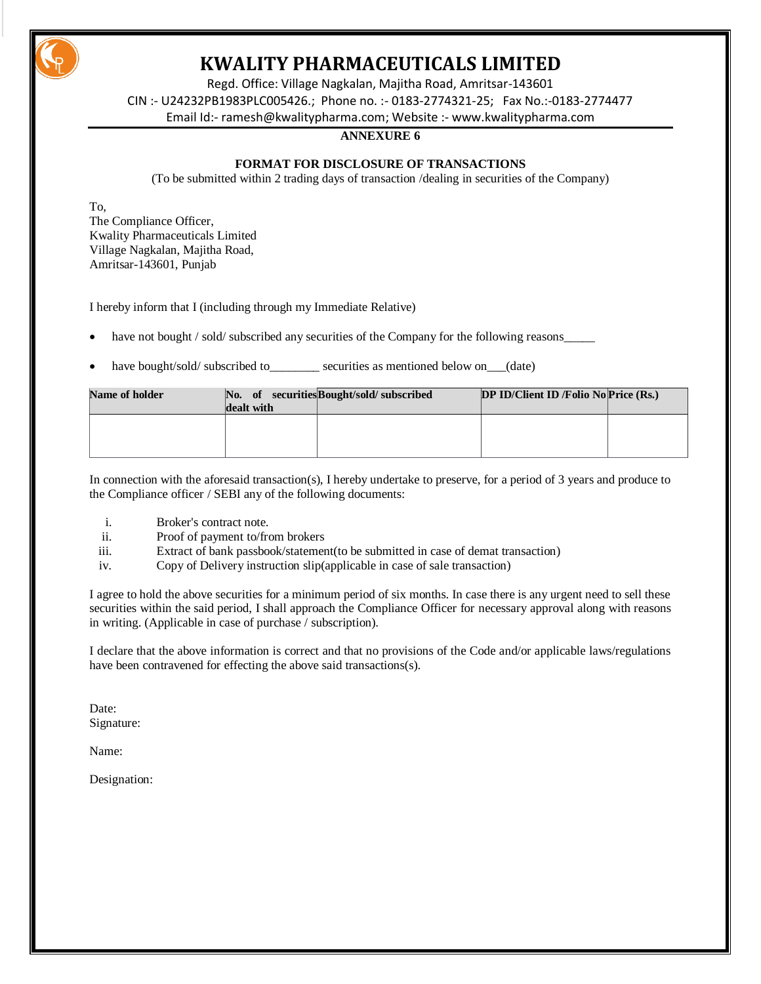

Regd. Office: Village Nagkalan, Majitha Road, Amritsar-143601 CIN :- U24232PB1983PLC005426.; Phone no. :- 0183-2774321-25; Fax No.:-0183-2774477 Email Id:- [ramesh@kwalitypharma.com;](mailto:ramesh@kwalitypharma.com) Website :- [www.kwalitypharma.com](http://www.kwalitypharma.com/)

#### **ANNEXURE 6**

### **FORMAT FOR DISCLOSURE OF TRANSACTIONS**

(To be submitted within 2 trading days of transaction /dealing in securities of the Company)

To, The Compliance Officer, Kwality Pharmaceuticals Limited Village Nagkalan, Majitha Road, Amritsar-143601, Punjab

I hereby inform that I (including through my Immediate Relative)

- have not bought / sold/ subscribed any securities of the Company for the following reasons
- have bought/sold/ subscribed to securities as mentioned below on (date)

| <b>Name of holder</b> | dealt with | No. of securities Bought/sold/subscribed | DP ID/Client ID/Folio NoPrice (Rs.) |  |
|-----------------------|------------|------------------------------------------|-------------------------------------|--|
|                       |            |                                          |                                     |  |

In connection with the aforesaid transaction(s), I hereby undertake to preserve, for a period of 3 years and produce to the Compliance officer / SEBI any of the following documents:

- i. Broker's contract note.
- ii. Proof of payment to/from brokers
- iii. Extract of bank passbook/statement(to be submitted in case of demat transaction)
- iv. Copy of Delivery instruction slip(applicable in case of sale transaction)

I agree to hold the above securities for a minimum period of six months. In case there is any urgent need to sell these securities within the said period, I shall approach the Compliance Officer for necessary approval along with reasons in writing. (Applicable in case of purchase / subscription).

I declare that the above information is correct and that no provisions of the Code and/or applicable laws/regulations have been contravened for effecting the above said transactions(s).

Date: Signature:

Name: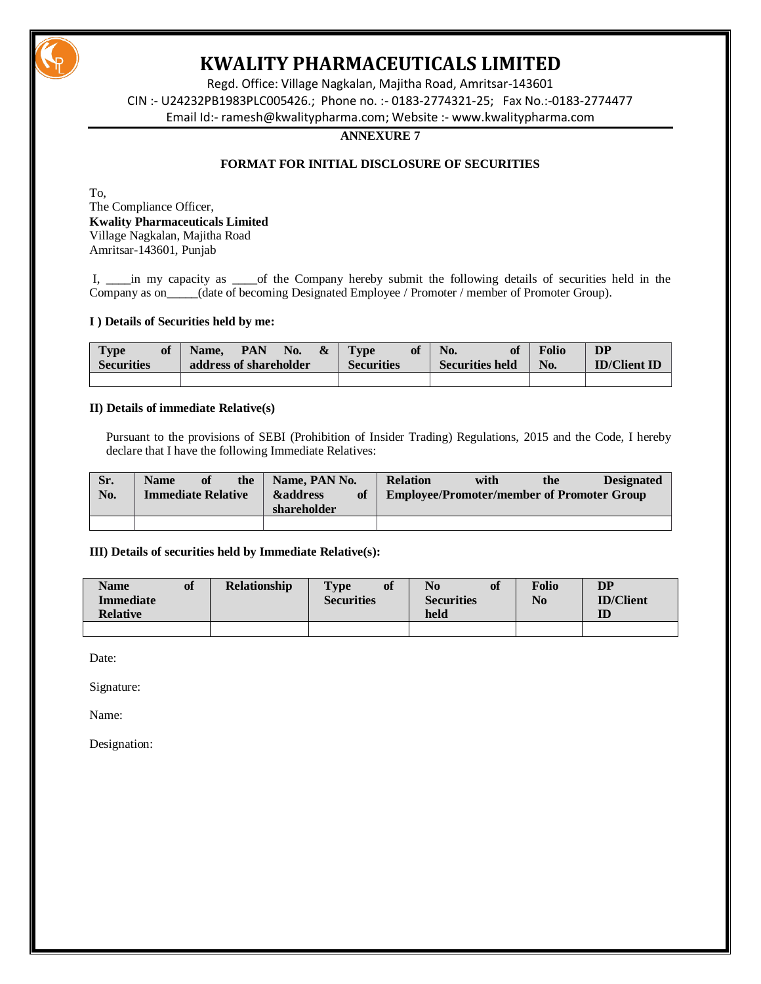

Regd. Office: Village Nagkalan, Majitha Road, Amritsar-143601 CIN :- U24232PB1983PLC005426.; Phone no. :- 0183-2774321-25; Fax No.:-0183-2774477 Email Id:- [ramesh@kwalitypharma.com;](mailto:ramesh@kwalitypharma.com) Website :- [www.kwalitypharma.com](http://www.kwalitypharma.com/)

#### **ANNEXURE 7**

# **FORMAT FOR INITIAL DISCLOSURE OF SECURITIES**

To, The Compliance Officer, **Kwality Pharmaceuticals Limited** Village Nagkalan, Majitha Road Amritsar-143601, Punjab

I, \_\_\_\_in my capacity as \_\_\_\_\_of the Company hereby submit the following details of securities held in the Company as on\_\_\_\_\_(date of becoming Designated Employee / Promoter / member of Promoter Group).

#### **I ) Details of Securities held by me:**

| <b>Type</b><br>of<br><b>Securities</b> | PAN<br>$\boldsymbol{\&}$<br>No.<br>Name.<br>address of shareholder | <b>Type</b><br>of<br><b>Securities</b> | No.<br><b>Securities held</b> | <b>Folio</b><br>No. | <b>DP</b><br><b>ID/Client ID</b> |
|----------------------------------------|--------------------------------------------------------------------|----------------------------------------|-------------------------------|---------------------|----------------------------------|
|                                        |                                                                    |                                        |                               |                     |                                  |

#### **II) Details of immediate Relative(s)**

Pursuant to the provisions of SEBI (Prohibition of Insider Trading) Regulations, 2015 and the Code, I hereby declare that I have the following Immediate Relatives:

| Sr. | <b>Name</b>               | of | the | Name, PAN No.                                   | <b>Relation</b> | with                                              | the | <b>Designated</b> |
|-----|---------------------------|----|-----|-------------------------------------------------|-----------------|---------------------------------------------------|-----|-------------------|
| No. | <b>Immediate Relative</b> |    |     | <b>&amp;address</b><br><b>of</b><br>shareholder |                 | <b>Employee/Promoter/member of Promoter Group</b> |     |                   |
|     |                           |    |     |                                                 |                 |                                                   |     |                   |

### **III) Details of securities held by Immediate Relative(s):**

| <b>Name</b><br><b>Immediate</b> | of | <b>Relationship</b> | $\mathbf{Type}$<br>of<br><b>Securities</b> | of<br>No<br><b>Securities</b> | <b>Folio</b><br>N <sub>0</sub> | DP<br><b>ID/Client</b> |
|---------------------------------|----|---------------------|--------------------------------------------|-------------------------------|--------------------------------|------------------------|
| <b>Relative</b>                 |    |                     |                                            | held                          |                                | ID                     |
|                                 |    |                     |                                            |                               |                                |                        |

Date:

Signature:

Name: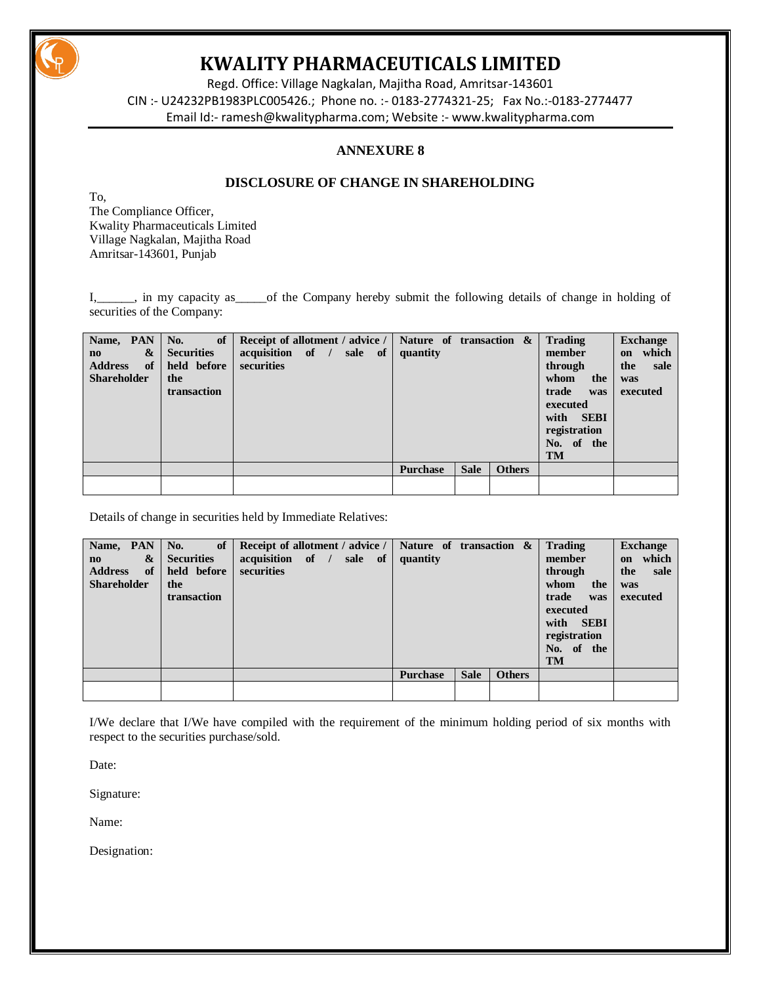

Regd. Office: Village Nagkalan, Majitha Road, Amritsar-143601 CIN :- U24232PB1983PLC005426.; Phone no. :- 0183-2774321-25; Fax No.:-0183-2774477 Email Id:- [ramesh@kwalitypharma.com;](mailto:ramesh@kwalitypharma.com) Website :- [www.kwalitypharma.com](http://www.kwalitypharma.com/)

# **ANNEXURE 8**

# **DISCLOSURE OF CHANGE IN SHAREHOLDING**

To, The Compliance Officer, Kwality Pharmaceuticals Limited Village Nagkalan, Majitha Road Amritsar-143601, Punjab

I, in my capacity as of the Company hereby submit the following details of change in holding of securities of the Company:

| Name, PAN<br>&<br>$\mathbf{n}\mathbf{o}$<br><b>Address</b><br>of<br><b>Shareholder</b> | $\mathbf{No.}$ of $\vert$<br><b>Securities</b><br>held before<br>the<br>transaction | Receipt of allotment / advice /   Nature of transaction $\&$<br>acquisition of / sale of<br>securities |  | quantity        |             |               | Trading<br>member<br>through<br>whom<br>the<br>trade<br>was<br>executed<br>with SEBI<br>registration<br>No. of the<br><b>TM</b> | <b>Exchange</b><br>which<br>on<br>the<br>sale<br>was<br>executed |
|----------------------------------------------------------------------------------------|-------------------------------------------------------------------------------------|--------------------------------------------------------------------------------------------------------|--|-----------------|-------------|---------------|---------------------------------------------------------------------------------------------------------------------------------|------------------------------------------------------------------|
|                                                                                        |                                                                                     |                                                                                                        |  | <b>Purchase</b> | <b>Sale</b> | <b>Others</b> |                                                                                                                                 |                                                                  |
|                                                                                        |                                                                                     |                                                                                                        |  |                 |             |               |                                                                                                                                 |                                                                  |

Details of change in securities held by Immediate Relatives:

| Name, PAN<br>&<br>$\mathbf{n}\mathbf{o}$<br><b>Address</b><br>of<br><b>Shareholder</b> | No.<br>of<br><b>Securities</b><br>held before<br>the<br>transaction | Receipt of allotment / advice /<br>acquisition of /<br>securities |  | sale of | Nature of transaction &<br>quantity |             |               | <b>Trading</b><br>member<br>through<br>whom<br>the<br>trade<br>was<br>executed<br><b>SEBI</b><br>with<br>registration<br>No. of the<br><b>TM</b> | <b>Exchange</b><br>which<br>on<br>sale<br>the<br>was<br>executed |
|----------------------------------------------------------------------------------------|---------------------------------------------------------------------|-------------------------------------------------------------------|--|---------|-------------------------------------|-------------|---------------|--------------------------------------------------------------------------------------------------------------------------------------------------|------------------------------------------------------------------|
|                                                                                        |                                                                     |                                                                   |  |         | <b>Purchase</b>                     | <b>Sale</b> | <b>Others</b> |                                                                                                                                                  |                                                                  |
|                                                                                        |                                                                     |                                                                   |  |         |                                     |             |               |                                                                                                                                                  |                                                                  |

I/We declare that I/We have compiled with the requirement of the minimum holding period of six months with respect to the securities purchase/sold.

Date:

Signature:

Name: